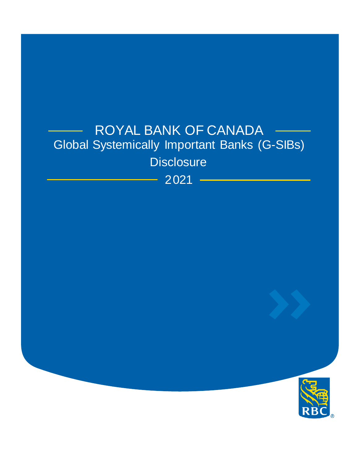# ROYAL BANK OF CANADA Global Systemically Important Banks (G-SIBs) **Disclosure**

2021

<u> 1999 - Jan Barnett, politik e</u>ta p

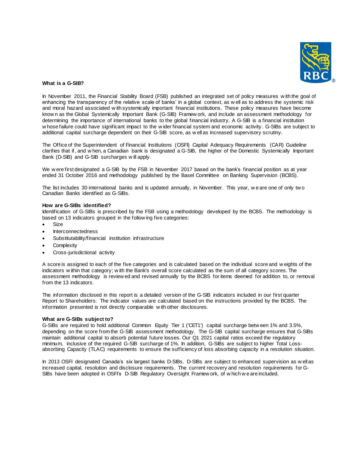

# **What is a G-SIB?**

In November 2011, the Financial Stability Board (FSB) published an integrated set of policy measures w ith the goal of enhancing the transparency of the relative scale of banks' in a global context, as w ell as to address the systemic risk and moral hazard associated w ith systemically important financial institutions. These policy measures have become know n as the Global Systemically Important Bank (G-SIB) Framew ork, and include an assessment methodology for determining the importance of international banks to the global financial industry. A G-SIB is a financial institution w hose failure could have significant impact to the w ider financial system and economic activity . G-SIBs are subject to additional capital surcharge dependent on their G-SIB score, as w ell as increased supervisory scrutiny.

The Office of the Superintendent of Financial Institutions (OSFI) Capital Adequacy Requirements (CAR) Guideline clarifies that if, and w hen, a Canadian bank is designated a G-SIB, the higher of the Domestic Systemically Important Bank (D-SIB) and G-SIB surcharges w ill apply.

We w ere first designated a G-SIB by the FSB in November 2017 based on the bank's financial position as at year ended 31 October 2016 and methodology published by the Basel Committee on Banking Supervision (BCBS).

The list includes 30 international banks and is updated annually, in November. This year, w e are one of only tw o Canadian Banks identified as G-SIBs.

## **How are G-SIBs identified?**

Identification of G-SIBs is prescribed by the FSB using a methodology developed by the BCBS. The methodology is based on 13 indicators grouped in the follow ing five categories:

- Size
- Interconnectedness
- Substitutability/financial institution infrastructure
- **Complexity**
- Cross-jurisdictional activity

A score is assigned to each of the five categories and is calculated based on the individual score and w eights of the indicators w ithin that category; w ith the Bank's overall score calculated as the sum of all category scores. The assessment methodology is review ed and revised annually by the BCBS for items deemed for addition to, or removal from the 13 indicators.

The information disclosed in this report is a detailed version of the G-SIB indicators included in our first quarter Report to Shareholders. The indicator values are calculated based on the instructions provided by the BCBS. The information presented is not directly comparable w ith other disclosures.

## **What are G-SIBs subject to?**

G-SIBs are required to hold additional Common Equity Tier 1 ('CET1') capital surcharge betw een 1% and 3.5%, depending on the score from the G-SIB assessment methodology. The G-SIB capital surcharge ensures that G-SIBs maintain additional capital to absorb potential future losses. Our Q1 2021 capital ratios exceed the regulatory minimum, inclusive of the required G-SIB surcharge of 1%. In addition, G-SIBs are subject to higher Total Lossabsorbing Capacity (TLAC) requirements to ensure the sufficiency of loss absorbing capacity in a resolution situation.

In 2013 OSFI designated Canada's six largest banks D-SIBs. D-SIBs are subject to enhanced supervision as w ell as increased capital, resolution and disclosure requirements. The current recovery and resolution requirements for G-SIBs have been adopted in OSFI's D-SIB Regulatory Oversight Framew ork, of w hich w e are included.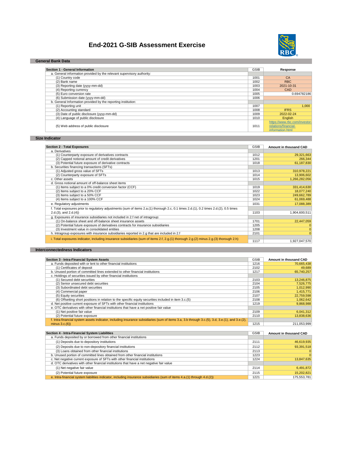# **End-2021 G-SIB Assessment Exercise**



## **General Bank Data**

| Section 1 - General Information                                        | <b>GSIB</b> | Response                      |
|------------------------------------------------------------------------|-------------|-------------------------------|
| a. General information provided by the relevant supervisory authority: |             |                               |
| (1) Country code                                                       | 1001        | CA                            |
| (2) Bank name                                                          | 1002        | RBC                           |
| (3) Reporting date (yyyy-mm-dd)                                        | 1003        | 2021-10-31                    |
| (4) Reporting currency                                                 | 1004        | CAD                           |
| (5) Euro conversion rate                                               | 1005        | 0.694782186                   |
| (6) Submission date (vvvv-mm-dd)                                       | 1006        |                               |
| b. General Information provided by the reporting institution:          |             |                               |
| (1) Reporting unit                                                     | 1007        | 1.000                         |
| (2) Accounting standard                                                | 1008        | <b>IFRS</b>                   |
| (3) Date of public disclosure (yyyy-mm-dd)                             | 1009        | 2022-02-24                    |
| (4) Language of public disclosure                                      | 1010        | English                       |
|                                                                        |             | https://www.rbc.com/investor- |
| (5) Web address of public disclosure                                   | 1011        | relations/financial-          |
|                                                                        |             | information.html              |

**Size Indicator**

| <b>Section 2 - Total Exposures</b>                                                                                                     | <b>GSIB</b> | Amount in thousand CAD |
|----------------------------------------------------------------------------------------------------------------------------------------|-------------|------------------------|
| a. Derivatives                                                                                                                         |             |                        |
| (1) Counterparty exposure of derivatives contracts                                                                                     | 1012        | 29,321,663             |
| (2) Capped notional amount of credit derivatives                                                                                       | 1201        | 266.344                |
| (3) Potential future exposure of derivative contracts                                                                                  | 1018        | 61,187,830             |
| b. Securities financing transactions (SFTs)                                                                                            |             |                        |
| (1) Adjusted gross value of SFTs                                                                                                       | 1013        | 310,978,221            |
| (2) Counterparty exposure of SFTs                                                                                                      | 1014        | 13,906,602             |
| c. Other assets                                                                                                                        | 1015        | 1,266,282,056          |
| d. Gross notional amount of off-balance sheet items                                                                                    |             |                        |
| (1) Items subject to a 0% credit conversion factor (CCF)                                                                               | 1019        | 331,414,630            |
| (2) Items subject to a 20% CCF                                                                                                         | 1022        | 18,077,240             |
| (3) Items subject to a 50% CCF                                                                                                         | 1023        | 249,662,789            |
| (4) Items subject to a 100% CCF                                                                                                        | 1024        | 61,069,488             |
| e. Regulatory adjustments                                                                                                              | 1031        | 17,088,389             |
| f. Total exposures prior to regulatory adjustments (sum of items 2.a.(1) thorough 2.c, 0.1 times 2.d.(1), 0.2 times 2.d.(2), 0.5 times |             |                        |
| $2.d.(3)$ , and $2.d.(4)$                                                                                                              | 1103        | 1,904,600,511          |
| g. Exposures of insurance subsidiaries not included in 2.f net of intragroup:                                                          |             |                        |
| (1) On-balance sheet and off-balance sheet insurance assets                                                                            | 1701        | 22,447,059             |
| (2) Potential future exposure of derivatives contracts for insurance subsidiaries                                                      | 1205        | O                      |
| (3) Investment value in consolidated entities                                                                                          | 1208        | O                      |
| h. Intragroup exposures with insurance subsidiaries reported in 2.q that are included in 2.f                                           | 2101        | $\Omega$               |
| i. Total exposures indicator, including insurance subsidiaries (sum of items 2.f, 2.g.(1) thorough 2.g.(2) minus 2.g.(3) thorough 2.h) |             |                        |
|                                                                                                                                        | 1117        | 1,927,047,570          |

## **Interconnectedness Indicators**

| Section 3 - Intra-Financial System Assets                                                                                                       | <b>GSIB</b> | Amount in thousand CAD        |
|-------------------------------------------------------------------------------------------------------------------------------------------------|-------------|-------------------------------|
| a. Funds deposited with or lent to other financial institutions                                                                                 | 1216        | 70.665.438                    |
| (1) Certificates of deposit                                                                                                                     | 2102        | 49.689                        |
| b. Unused portion of committed lines extended to other financial institutions                                                                   | 1217        | 65,740,257                    |
| c. Holdings of securities issued by other financial institutions                                                                                |             |                               |
| (1) Secured debt securities                                                                                                                     | 2103        | 13,246,875                    |
| (2) Senior unsecured debt securities                                                                                                            | 2104        | 7,526,775                     |
| (3) Subordinated debt securities                                                                                                                | 2105        | 1,012,990                     |
| (4) Commercial paper                                                                                                                            | 2106        | 1,415,771                     |
| (5) Equity securities                                                                                                                           | 2107        | 22,759,598                    |
| (6) Offsetting short positions in relation to the specific equity securities included in item 3.c.(5)                                           | 2108        | 1,062,642                     |
| d. Net positive current exposure of SFTs with other financial institutions                                                                      | 1219        | 9,868,988                     |
| e. OTC derivatives with other financial institutions that have a net positive fair value                                                        |             |                               |
| (1) Net positive fair value                                                                                                                     | 2109        | 6,041,312                     |
| (2) Potential future exposure                                                                                                                   | 2110        | 13.838.636                    |
| f. Intra-financial system assets indicator, including insurance subsidiaries (sum of items 3.a, 3.b through 3.c.(5), 3.d, 3.e.(1), and 3.e.(2), |             |                               |
| minus $3.c.(6)$                                                                                                                                 | 1215        | 211,053,999                   |
|                                                                                                                                                 |             |                               |
| Section 4 - Intra-Financial System Liabilities                                                                                                  | <b>GSIB</b> | <b>Amount in thousand CAD</b> |
| a. Funds deposited by or borrowed from other financial institutions                                                                             |             |                               |
| (1) Deposits due to depository institutions                                                                                                     | 2111        | 46,619,935                    |
| (2) Deposits due to non-depository financial institutions                                                                                       | 2112        | 93,391,518                    |
| (3) Loans obtained from other financial institutions                                                                                            | 2113        | $\mathbf 0$                   |
| b. Unused portion of committed lines obtained from other financial institutions                                                                 | 1223        | $\Omega$                      |
| c. Net negative current exposure of SFTs with other financial institutions                                                                      | 1224        | 13,847,635                    |
| d. OTC derivatives with other financial institutions that have a net negative fair value                                                        |             |                               |

(1) Net negative fair value 2114 6,491,872 2115 2115 2020 2016 15,<mark>202,821 15,202,821 15,202,821 15,202,821 15,202,821 15,202,821 15 15,202,821 175,553,781 175,553,781 175,553,781 175,553,781 175,553,781 175,553,781 175,553,781 175,553,781 175,553,781 175,553,781 1</mark>